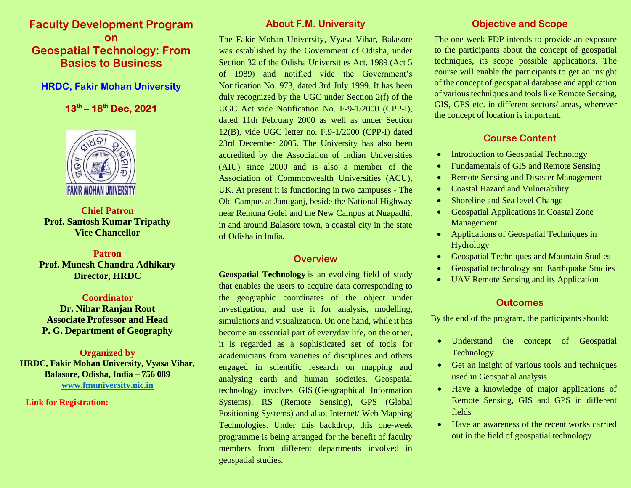# **Faculty Development Program on Geospatial Technology: From Basics to Business**

## **HRDC, Fakir Mohan University**

## **13 th – 18 th Dec, 2021**



**Chief Patron Prof. Santosh Kumar Tripathy Vice Chancellor**

# **Patron Prof. Munesh Chandra Adhikary Director, HRDC**

### **Coordinator**

**Dr. Nihar Ranjan Rout Associate Professor and Head P. G. Department of Geography**

### **Organized by HRDC, Fakir Mohan University, Vyasa Vihar, Balasore, Odisha, India – 756 089 [www.fmuniversity.nic.in](http://www.fmuniversity.nic.in/)**

# **Link for Registration:**

# **About F.M. University**

The Fakir Mohan University, Vyasa Vihar, Balasore was established by the Government of Odisha, under Section 32 of the Odisha Universities Act, 1989 (Act 5 of 1989) and notified vide the Government's Notification No. 973, dated 3rd July 1999. It has been duly recognized by the UGC under Section 2(f) of the UGC Act vide Notification No. F-9-1/2000 (CPP-I), dated 11th February 2000 as well as under Section 12(B), vide UGC letter no. F.9-1/2000 (CPP-I) dated 23rd December 2005. The University has also been accredited by the Association of Indian Universities (AIU) since 2000 and is also a member of the Association of Commonwealth Universities (ACU), UK. At present it is functioning in two campuses - The Old Campus at Januganj, beside the National Highway near Remuna Golei and the New Campus at Nuapadhi, in and around Balasore town, a coastal city in the state of Odisha in India.

### **Overview**

**Geospatial Technology** is an evolving field of study that enables the users to acquire data corresponding to the geographic coordinates of the object under investigation, and use it for analysis, modelling, simulations and visualization. On one hand, while it has become an essential part of everyday life, on the other, it is regarded as a sophisticated set of tools for academicians from varieties of disciplines and others engaged in scientific research on mapping and analysing earth and human societies. Geospatial technology involves GIS (Geographical Information Systems), RS (Remote Sensing), GPS (Global Positioning Systems) and also, Internet/ Web Mapping Technologies. Under this backdrop, this one-week programme is being arranged for the benefit of faculty members from different departments involved in geospatial studies.

# **Objective and Scope**

The one-week FDP intends to provide an exposure to the participants about the concept of geospatial techniques, its scope possible applications. The course will enable the participants to get an insight of the concept of geospatial database and application of various techniques and tools like Remote Sensing, GIS, GPS etc. in different sectors/ areas, wherever the concept of location is important.

# **Course Content**

- Introduction to Geospatial Technology
- Fundamentals of GIS and Remote Sensing
- Remote Sensing and Disaster Management
- Coastal Hazard and Vulnerability
- Shoreline and Sea level Change
- Geospatial Applications in Coastal Zone Management
- Applications of Geospatial Techniques in Hydrology
- Geospatial Techniques and Mountain Studies
- Geospatial technology and Earthquake Studies
- UAV Remote Sensing and its Application

# **Outcomes**

By the end of the program, the participants should:

- Understand the concept of Geospatial Technology
- Get an insight of various tools and techniques used in Geospatial analysis
- Have a knowledge of major applications of Remote Sensing, GIS and GPS in different fields
- Have an awareness of the recent works carried out in the field of geospatial technology